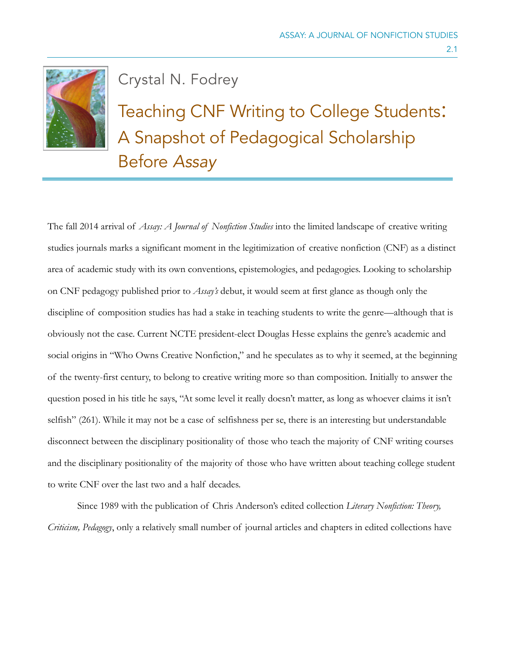

Crystal N. Fodrey

Teaching CNF Writing to College Students: A Snapshot of Pedagogical Scholarship Before *Assay*

The fall 2014 arrival of *Assay: A Journal of Nonfiction Studies* into the limited landscape of creative writing studies journals marks a significant moment in the legitimization of creative nonfiction (CNF) as a distinct area of academic study with its own conventions, epistemologies, and pedagogies. Looking to scholarship on CNF pedagogy published prior to *Assay's* debut, it would seem at first glance as though only the discipline of composition studies has had a stake in teaching students to write the genre—although that is obviously not the case. Current NCTE president-elect Douglas Hesse explains the genre's academic and social origins in "Who Owns Creative Nonfiction," and he speculates as to why it seemed, at the beginning of the twenty-first century, to belong to creative writing more so than composition. Initially to answer the question posed in his title he says, "At some level it really doesn't matter, as long as whoever claims it isn't selfish" (261). While it may not be a case of selfishness per se, there is an interesting but understandable disconnect between the disciplinary positionality of those who teach the majority of CNF writing courses and the disciplinary positionality of the majority of those who have written about teaching college student to write CNF over the last two and a half decades.

Since 1989 with the publication of Chris Anderson's edited collection *Literary Nonfiction: Theory, Criticism, Pedagogy*, only a relatively small number of journal articles and chapters in edited collections have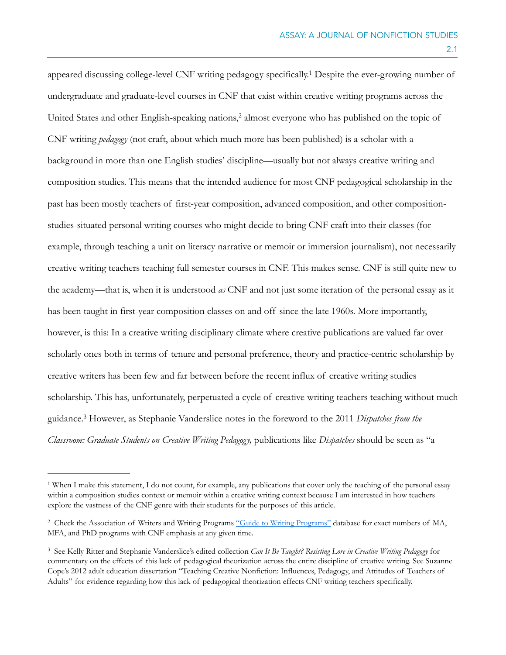appeared discussing college-level CNF writing pedagogy specifically.<sup>1</sup> Despite the ever-growing number of undergraduate and graduate-level courses in CNF that exist within creative writing programs across the United States and other English-speaking nations, $\frac{2}{3}$  almost everyone who has published on the topic of CNF writing *pedagogy* (not craft, about which much more has been published) is a scholar with a background in more than one English studies' discipline—usually but not always creative writing and composition studies. This means that the intended audience for most CNF pedagogical scholarship in the past has been mostly teachers of first-year composition, advanced composition, and other compositionstudies-situated personal writing courses who might decide to bring CNF craft into their classes (for example, through teaching a unit on literacy narrative or memoir or immersion journalism), not necessarily creative writing teachers teaching full semester courses in CNF. This makes sense. CNF is still quite new to the academy—that is, when it is understood *as* CNF and not just some iteration of the personal essay as it has been taught in first-year composition classes on and off since the late 1960s. More importantly, however, is this: In a creative writing disciplinary climate where creative publications are valued far over scholarly ones both in terms of tenure and personal preference, theory and practice-centric scholarship by creative writers has been few and far between before the recent influx of creative writing studies scholarship. This has, unfortunately, perpetuated a cycle of creative writing teachers teaching without much guidance. However, as Stephanie Vanderslice notes in the foreword to the 2011 *Dispatches from the* <sup>3</sup> *Classroom: Graduate Students on Creative Writing Pedagogy,* publications like *Dispatches* should be seen as "a

<sup>&</sup>lt;sup>1</sup> When I make this statement, I do not count, for example, any publications that cover only the teaching of the personal essay within a composition studies context or memoir within a creative writing context because I am interested in how teachers explore the vastness of the CNF genre with their students for the purposes of this article.

<sup>&</sup>lt;sup>2</sup> Check the Association of Writers and Writing Programs ["Guide to Writing Programs"](https://www.awpwriter.org/guide/guide_writing_programs) database for exact numbers of MA, MFA, and PhD programs with CNF emphasis at any given time.

<sup>&</sup>lt;sup>3</sup> See Kelly Ritter and Stephanie Vanderslice's edited collection *Can It Be Taught? Resisting Lore in Creative Writing Pedagogy* for commentary on the effects of this lack of pedagogical theorization across the entire discipline of creative writing. See Suzanne Cope's 2012 adult education dissertation "Teaching Creative Nonfiction: Influences, Pedagogy, and Attitudes of Teachers of Adults" for evidence regarding how this lack of pedagogical theorization effects CNF writing teachers specifically.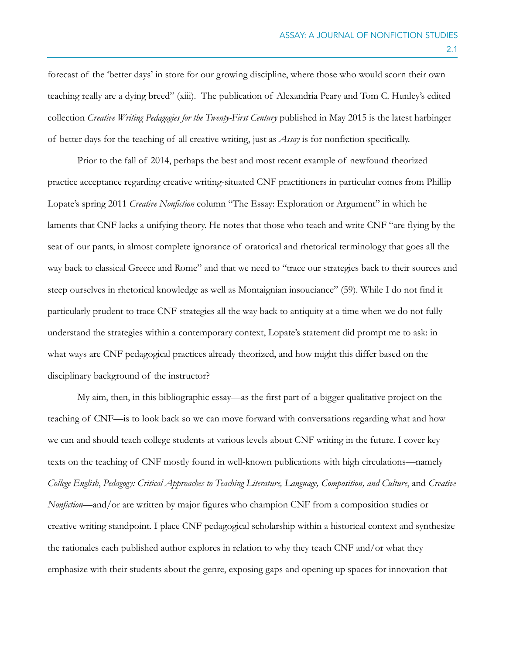forecast of the 'better days' in store for our growing discipline, where those who would scorn their own teaching really are a dying breed" (xiii). The publication of Alexandria Peary and Tom C. Hunley's edited collection *Creative Writing Pedagogies for the Twenty-First Century* published in May 2015 is the latest harbinger of better days for the teaching of all creative writing, just as *Assay* is for nonfiction specifically.

Prior to the fall of 2014, perhaps the best and most recent example of newfound theorized practice acceptance regarding creative writing-situated CNF practitioners in particular comes from Phillip Lopate's spring 2011 *Creative Nonfiction* column "The Essay: Exploration or Argument" in which he laments that CNF lacks a unifying theory. He notes that those who teach and write CNF "are flying by the seat of our pants, in almost complete ignorance of oratorical and rhetorical terminology that goes all the way back to classical Greece and Rome" and that we need to "trace our strategies back to their sources and steep ourselves in rhetorical knowledge as well as Montaignian insouciance" (59). While I do not find it particularly prudent to trace CNF strategies all the way back to antiquity at a time when we do not fully understand the strategies within a contemporary context, Lopate's statement did prompt me to ask: in what ways are CNF pedagogical practices already theorized, and how might this differ based on the disciplinary background of the instructor?

My aim, then, in this bibliographic essay—as the first part of a bigger qualitative project on the teaching of CNF—is to look back so we can move forward with conversations regarding what and how we can and should teach college students at various levels about CNF writing in the future. I cover key texts on the teaching of CNF mostly found in well-known publications with high circulations—namely *College English*, *Pedagogy: Critical Approaches to Teaching Literature, Language, Composition, and Culture*, and *Creative Nonfiction*—and/or are written by major figures who champion CNF from a composition studies or creative writing standpoint. I place CNF pedagogical scholarship within a historical context and synthesize the rationales each published author explores in relation to why they teach CNF and/or what they emphasize with their students about the genre, exposing gaps and opening up spaces for innovation that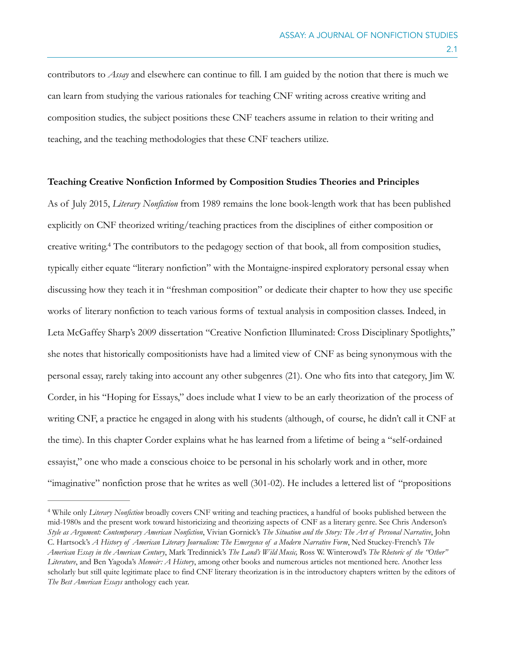contributors to *Assay* and elsewhere can continue to fill. I am guided by the notion that there is much we can learn from studying the various rationales for teaching CNF writing across creative writing and composition studies, the subject positions these CNF teachers assume in relation to their writing and teaching, and the teaching methodologies that these CNF teachers utilize.

## **Teaching Creative Nonfiction Informed by Composition Studies Theories and Principles**

As of July 2015, *Literary Nonfiction* from 1989 remains the lone book-length work that has been published explicitly on CNF theorized writing/teaching practices from the disciplines of either composition or creative writing.<sup>4</sup> The contributors to the pedagogy section of that book, all from composition studies, typically either equate "literary nonfiction" with the Montaigne-inspired exploratory personal essay when discussing how they teach it in "freshman composition" or dedicate their chapter to how they use specific works of literary nonfiction to teach various forms of textual analysis in composition classes. Indeed, in Leta McGaffey Sharp's 2009 dissertation "Creative Nonfiction Illuminated: Cross Disciplinary Spotlights," she notes that historically compositionists have had a limited view of CNF as being synonymous with the personal essay, rarely taking into account any other subgenres (21). One who fits into that category, Jim W. Corder, in his "Hoping for Essays," does include what I view to be an early theorization of the process of writing CNF, a practice he engaged in along with his students (although, of course, he didn't call it CNF at the time). In this chapter Corder explains what he has learned from a lifetime of being a "self-ordained essayist," one who made a conscious choice to be personal in his scholarly work and in other, more "imaginative" nonfiction prose that he writes as well (301-02). He includes a lettered list of "propositions

While only *Literary Nonfiction* broadly covers CNF writing and teaching practices, a handful of books published between the 4 mid-1980s and the present work toward historicizing and theorizing aspects of CNF as a literary genre. See Chris Anderson's *Style as Argument: Contemporary American Nonfiction*, Vivian Gornick's *The Situation and the Story: The Art of Personal Narrative*, John C. Hartsock's *A History of American Literary Journalism: The Emergence of a Modern Narrative Form*, Ned Stuckey-French's *The American Essay in the American Century*, Mark Tredinnick's *The Land's Wild Music,* Ross W. Winterowd's *The Rhetoric of the "Other" Literature*, and Ben Yagoda's *Memoir: A History*, among other books and numerous articles not mentioned here. Another less scholarly but still quite legitimate place to find CNF literary theorization is in the introductory chapters written by the editors of *The Best American Essays* anthology each year.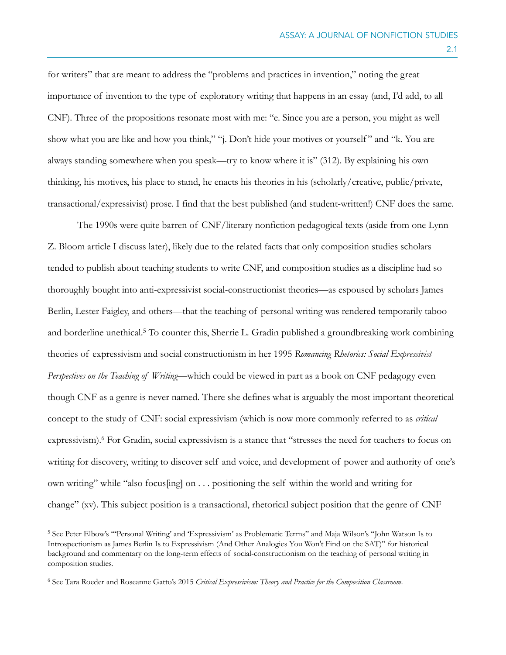for writers" that are meant to address the "problems and practices in invention," noting the great importance of invention to the type of exploratory writing that happens in an essay (and, I'd add, to all CNF). Three of the propositions resonate most with me: "e. Since you are a person, you might as well show what you are like and how you think," "j. Don't hide your motives or yourself" and "k. You are always standing somewhere when you speak—try to know where it is" (312). By explaining his own thinking, his motives, his place to stand, he enacts his theories in his (scholarly/creative, public/private, transactional/expressivist) prose. I find that the best published (and student-written!) CNF does the same.

The 1990s were quite barren of CNF/literary nonfiction pedagogical texts (aside from one Lynn Z. Bloom article I discuss later), likely due to the related facts that only composition studies scholars tended to publish about teaching students to write CNF, and composition studies as a discipline had so thoroughly bought into anti-expressivist social-constructionist theories—as espoused by scholars James Berlin, Lester Faigley, and others—that the teaching of personal writing was rendered temporarily taboo and borderline unethical.<sup>5</sup> To counter this, Sherrie L. Gradin published a groundbreaking work combining theories of expressivism and social constructionism in her 1995 *Romancing Rhetorics: Social Expressivist Perspectives on the Teaching of Writing*—which could be viewed in part as a book on CNF pedagogy even though CNF as a genre is never named. There she defines what is arguably the most important theoretical concept to the study of CNF: social expressivism (which is now more commonly referred to as *critical*  expressivism). For Gradin, social expressivism is a stance that "stresses the need for teachers to focus on writing for discovery, writing to discover self and voice, and development of power and authority of one's own writing" while "also focus[ing] on . . . positioning the self within the world and writing for change" (xv). This subject position is a transactional, rhetorical subject position that the genre of CNF

2.1

<sup>&</sup>lt;sup>5</sup> See Peter Elbow's "'Personal Writing' and 'Expressivism' as Problematic Terms" and Maja Wilson's "John Watson Is to Introspectionism as James Berlin Is to Expressivism (And Other Analogies You Won't Find on the SAT)" for historical background and commentary on the long-term effects of social-constructionism on the teaching of personal writing in composition studies.

See Tara Roeder and Roseanne Gatto's 2015 *Critical Expressivism: Theory and Practice for the Composition Classroom*. <sup>6</sup>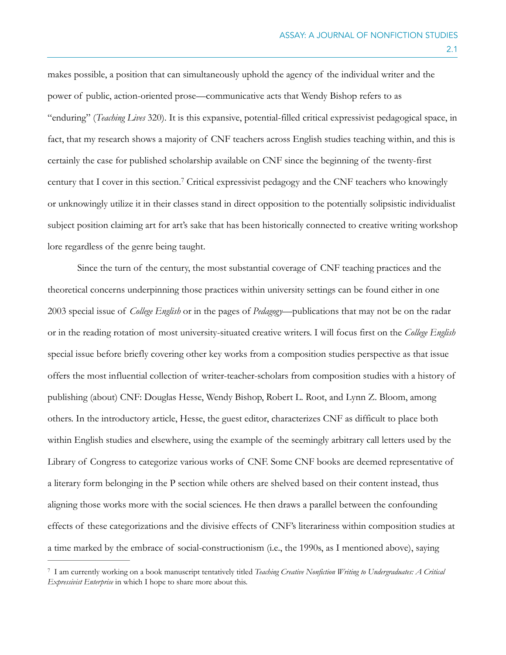makes possible, a position that can simultaneously uphold the agency of the individual writer and the power of public, action-oriented prose—communicative acts that Wendy Bishop refers to as "enduring" (*Teaching Lives* 320). It is this expansive, potential-filled critical expressivist pedagogical space, in fact, that my research shows a majority of CNF teachers across English studies teaching within, and this is certainly the case for published scholarship available on CNF since the beginning of the twenty-first century that I cover in this section.<sup>7</sup> Critical expressivist pedagogy and the CNF teachers who knowingly or unknowingly utilize it in their classes stand in direct opposition to the potentially solipsistic individualist subject position claiming art for art's sake that has been historically connected to creative writing workshop lore regardless of the genre being taught.

Since the turn of the century, the most substantial coverage of CNF teaching practices and the theoretical concerns underpinning those practices within university settings can be found either in one 2003 special issue of *College English* or in the pages of *Pedagogy*—publications that may not be on the radar or in the reading rotation of most university-situated creative writers. I will focus first on the *College English* special issue before briefly covering other key works from a composition studies perspective as that issue offers the most influential collection of writer-teacher-scholars from composition studies with a history of publishing (about) CNF: Douglas Hesse, Wendy Bishop, Robert L. Root, and Lynn Z. Bloom, among others. In the introductory article, Hesse, the guest editor, characterizes CNF as difficult to place both within English studies and elsewhere, using the example of the seemingly arbitrary call letters used by the Library of Congress to categorize various works of CNF. Some CNF books are deemed representative of a literary form belonging in the P section while others are shelved based on their content instead, thus aligning those works more with the social sciences. He then draws a parallel between the confounding effects of these categorizations and the divisive effects of CNF's literariness within composition studies at a time marked by the embrace of social-constructionism (i.e., the 1990s, as I mentioned above), saying

I am currently working on a book manuscript tentatively titled *Teaching Creative Nonfiction Writing to Undergraduates: A Critical* <sup>7</sup> *Expressivist Enterprise* in which I hope to share more about this.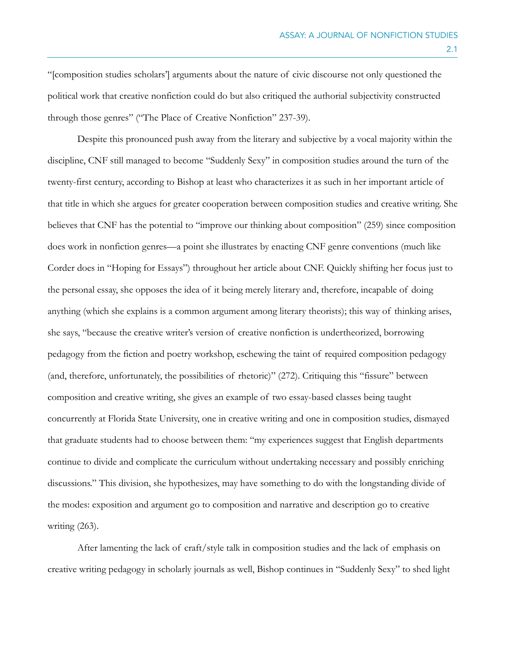"[composition studies scholars'] arguments about the nature of civic discourse not only questioned the political work that creative nonfiction could do but also critiqued the authorial subjectivity constructed through those genres" ("The Place of Creative Nonfiction" 237-39).

Despite this pronounced push away from the literary and subjective by a vocal majority within the discipline, CNF still managed to become "Suddenly Sexy" in composition studies around the turn of the twenty-first century, according to Bishop at least who characterizes it as such in her important article of that title in which she argues for greater cooperation between composition studies and creative writing. She believes that CNF has the potential to "improve our thinking about composition" (259) since composition does work in nonfiction genres—a point she illustrates by enacting CNF genre conventions (much like Corder does in "Hoping for Essays") throughout her article about CNF. Quickly shifting her focus just to the personal essay, she opposes the idea of it being merely literary and, therefore, incapable of doing anything (which she explains is a common argument among literary theorists); this way of thinking arises, she says, "because the creative writer's version of creative nonfiction is undertheorized, borrowing pedagogy from the fiction and poetry workshop, eschewing the taint of required composition pedagogy (and, therefore, unfortunately, the possibilities of rhetoric)" (272). Critiquing this "fissure" between composition and creative writing, she gives an example of two essay-based classes being taught concurrently at Florida State University, one in creative writing and one in composition studies, dismayed that graduate students had to choose between them: "my experiences suggest that English departments continue to divide and complicate the curriculum without undertaking necessary and possibly enriching discussions." This division, she hypothesizes, may have something to do with the longstanding divide of the modes: exposition and argument go to composition and narrative and description go to creative writing (263).

After lamenting the lack of craft/style talk in composition studies and the lack of emphasis on creative writing pedagogy in scholarly journals as well, Bishop continues in "Suddenly Sexy" to shed light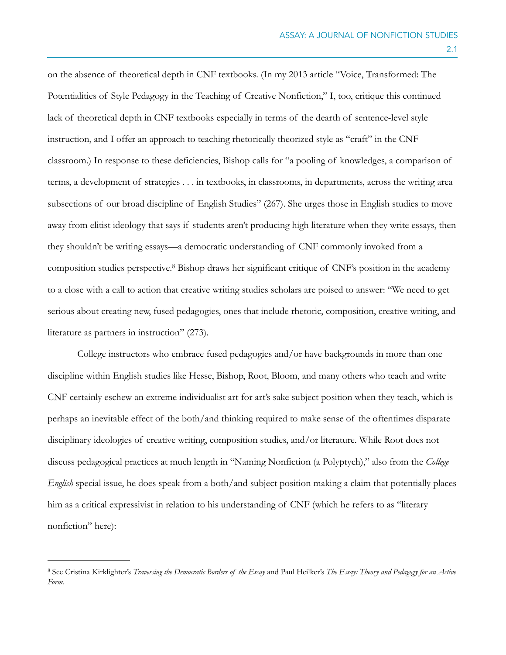on the absence of theoretical depth in CNF textbooks. (In my 2013 article "Voice, Transformed: The Potentialities of Style Pedagogy in the Teaching of Creative Nonfiction," I, too, critique this continued lack of theoretical depth in CNF textbooks especially in terms of the dearth of sentence-level style instruction, and I offer an approach to teaching rhetorically theorized style as "craft" in the CNF classroom.) In response to these deficiencies, Bishop calls for "a pooling of knowledges, a comparison of terms, a development of strategies . . . in textbooks, in classrooms, in departments, across the writing area subsections of our broad discipline of English Studies" (267). She urges those in English studies to move away from elitist ideology that says if students aren't producing high literature when they write essays, then they shouldn't be writing essays—a democratic understanding of CNF commonly invoked from a composition studies perspective.<sup>8</sup> Bishop draws her significant critique of CNF's position in the academy to a close with a call to action that creative writing studies scholars are poised to answer: "We need to get serious about creating new, fused pedagogies, ones that include rhetoric, composition, creative writing, and literature as partners in instruction" (273).

College instructors who embrace fused pedagogies and/or have backgrounds in more than one discipline within English studies like Hesse, Bishop, Root, Bloom, and many others who teach and write CNF certainly eschew an extreme individualist art for art's sake subject position when they teach, which is perhaps an inevitable effect of the both/and thinking required to make sense of the oftentimes disparate disciplinary ideologies of creative writing, composition studies, and/or literature. While Root does not discuss pedagogical practices at much length in "Naming Nonfiction (a Polyptych)," also from the *College English* special issue, he does speak from a both/and subject position making a claim that potentially places him as a critical expressivist in relation to his understanding of CNF (which he refers to as "literary nonfiction" here):

See Cristina Kirklighter's *Traversing the Democratic Borders of the Essay* and Paul Heilker's *The Essay: Theory and Pedagogy for an Active* <sup>8</sup> *Form.*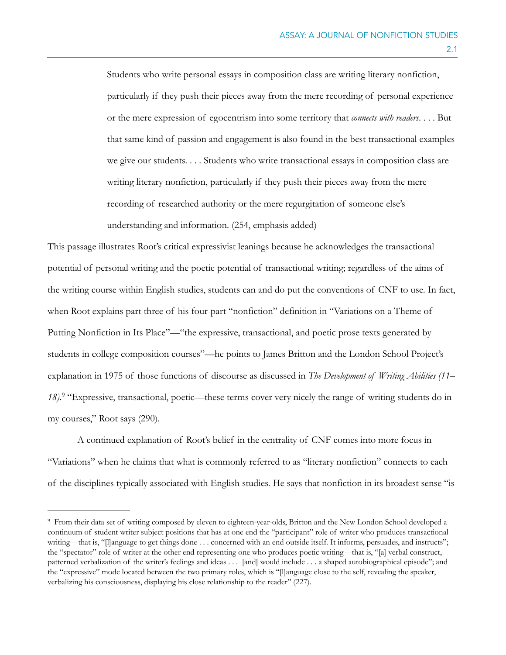Students who write personal essays in composition class are writing literary nonfiction, particularly if they push their pieces away from the mere recording of personal experience or the mere expression of egocentrism into some territory that *connects with readers*. . . . But that same kind of passion and engagement is also found in the best transactional examples we give our students. . . . Students who write transactional essays in composition class are writing literary nonfiction, particularly if they push their pieces away from the mere recording of researched authority or the mere regurgitation of someone else's understanding and information. (254, emphasis added)

This passage illustrates Root's critical expressivist leanings because he acknowledges the transactional potential of personal writing and the poetic potential of transactional writing; regardless of the aims of the writing course within English studies, students can and do put the conventions of CNF to use. In fact, when Root explains part three of his four-part "nonfiction" definition in "Variations on a Theme of Putting Nonfiction in Its Place"—"the expressive, transactional, and poetic prose texts generated by students in college composition courses"—he points to James Britton and the London School Project's explanation in 1975 of those functions of discourse as discussed in *The Development of Writing Abilities (11– 18*).<sup>9</sup> "Expressive, transactional, poetic—these terms cover very nicely the range of writing students do in my courses," Root says (290).

A continued explanation of Root's belief in the centrality of CNF comes into more focus in "Variations" when he claims that what is commonly referred to as "literary nonfiction" connects to each of the disciplines typically associated with English studies. He says that nonfiction in its broadest sense "is

From their data set of writing composed by eleven to eighteen-year-olds, Britton and the New London School developed a 9 continuum of student writer subject positions that has at one end the "participant" role of writer who produces transactional writing—that is, "[l]anguage to get things done . . . concerned with an end outside itself. It informs, persuades, and instructs"; the "spectator" role of writer at the other end representing one who produces poetic writing—that is, "[a] verbal construct, patterned verbalization of the writer's feelings and ideas . . . [and] would include . . . a shaped autobiographical episode"; and the "expressive" mode located between the two primary roles, which is "[l]anguage close to the self, revealing the speaker, verbalizing his consciousness, displaying his close relationship to the reader" (227).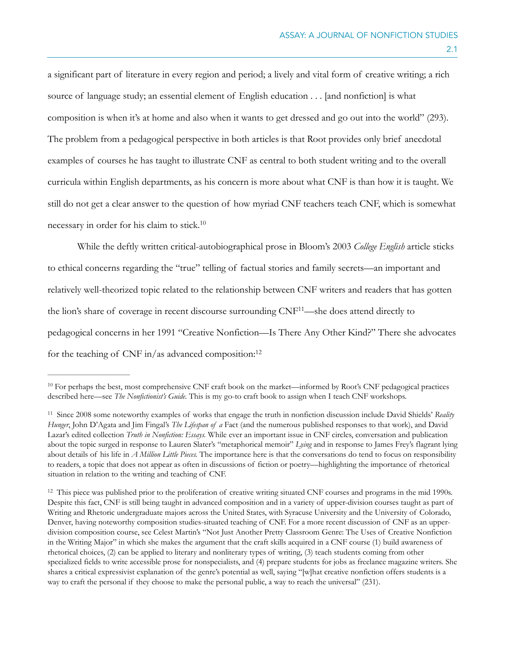a significant part of literature in every region and period; a lively and vital form of creative writing; a rich source of language study; an essential element of English education . . . [and nonfiction] is what composition is when it's at home and also when it wants to get dressed and go out into the world" (293). The problem from a pedagogical perspective in both articles is that Root provides only brief anecdotal examples of courses he has taught to illustrate CNF as central to both student writing and to the overall curricula within English departments, as his concern is more about what CNF is than how it is taught. We still do not get a clear answer to the question of how myriad CNF teachers teach CNF, which is somewhat necessary in order for his claim to stick. 10

While the deftly written critical-autobiographical prose in Bloom's 2003 *College English* article sticks to ethical concerns regarding the "true" telling of factual stories and family secrets—an important and relatively well-theorized topic related to the relationship between CNF writers and readers that has gotten the lion's share of coverage in recent discourse surrounding  $CNF<sup>11</sup>$ —she does attend directly to pedagogical concerns in her 1991 "Creative Nonfiction—Is There Any Other Kind?" There she advocates for the teaching of CNF in/as advanced composition:<sup>12</sup>

 $10$  For perhaps the best, most comprehensive CNF craft book on the market—informed by Root's CNF pedagogical practices described here—see *The Nonfictionist's Guide.* This is my go-to craft book to assign when I teach CNF workshops.

<sup>&</sup>lt;sup>11</sup> Since 2008 some noteworthy examples of works that engage the truth in nonfiction discussion include David Shields' *Reality Hunger*, John D'Agata and Jim Fingal's *The Lifespan of a* Fact (and the numerous published responses to that work), and David Lazar's edited collection *Truth in Nonfiction: Essays.* While ever an important issue in CNF circles, conversation and publication about the topic surged in response to Lauren Slater's "metaphorical memoir" *Lying* and in response to James Frey's flagrant lying about details of his life in *A Million Little Pieces.* The importance here is that the conversations do tend to focus on responsibility to readers, a topic that does not appear as often in discussions of fiction or poetry—highlighting the importance of rhetorical situation in relation to the writing and teaching of CNF.

<sup>&</sup>lt;sup>12</sup> This piece was published prior to the proliferation of creative writing situated CNF courses and programs in the mid 1990s. Despite this fact, CNF is still being taught in advanced composition and in a variety of upper-division courses taught as part of Writing and Rhetoric undergraduate majors across the United States, with Syracuse University and the University of Colorado, Denver, having noteworthy composition studies-situated teaching of CNF. For a more recent discussion of CNF as an upperdivision composition course, see Celest Martin's "Not Just Another Pretty Classroom Genre: The Uses of Creative Nonfiction in the Writing Major" in which she makes the argument that the craft skills acquired in a CNF course (1) build awareness of rhetorical choices, (2) can be applied to literary and nonliterary types of writing, (3) teach students coming from other specialized fields to write accessible prose for nonspecialists, and (4) prepare students for jobs as freelance magazine writers. She shares a critical expressivist explanation of the genre's potential as well, saying "[w]hat creative nonfiction offers students is a way to craft the personal if they choose to make the personal public, a way to reach the universal" (231).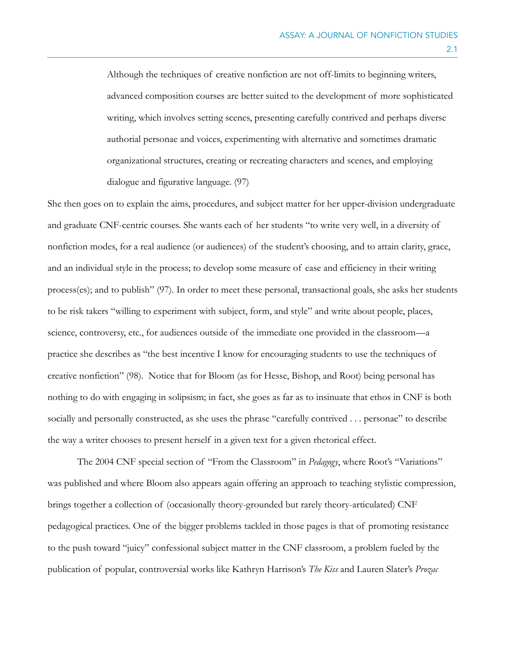Although the techniques of creative nonfiction are not off-limits to beginning writers, advanced composition courses are better suited to the development of more sophisticated writing, which involves setting scenes, presenting carefully contrived and perhaps diverse authorial personae and voices, experimenting with alternative and sometimes dramatic organizational structures, creating or recreating characters and scenes, and employing dialogue and figurative language. (97)

She then goes on to explain the aims, procedures, and subject matter for her upper-division undergraduate and graduate CNF-centric courses. She wants each of her students "to write very well, in a diversity of nonfiction modes, for a real audience (or audiences) of the student's choosing, and to attain clarity, grace, and an individual style in the process; to develop some measure of ease and efficiency in their writing process(es); and to publish" (97). In order to meet these personal, transactional goals, she asks her students to be risk takers "willing to experiment with subject, form, and style" and write about people, places, science, controversy, etc., for audiences outside of the immediate one provided in the classroom—a practice she describes as "the best incentive I know for encouraging students to use the techniques of creative nonfiction" (98). Notice that for Bloom (as for Hesse, Bishop, and Root) being personal has nothing to do with engaging in solipsism; in fact, she goes as far as to insinuate that ethos in CNF is both socially and personally constructed, as she uses the phrase "carefully contrived . . . personae" to describe the way a writer chooses to present herself in a given text for a given rhetorical effect.

The 2004 CNF special section of "From the Classroom" in *Pedagogy*, where Root's "Variations" was published and where Bloom also appears again offering an approach to teaching stylistic compression, brings together a collection of (occasionally theory-grounded but rarely theory-articulated) CNF pedagogical practices. One of the bigger problems tackled in those pages is that of promoting resistance to the push toward "juicy" confessional subject matter in the CNF classroom, a problem fueled by the publication of popular, controversial works like Kathryn Harrison's *The Kiss* and Lauren Slater's *Prozac*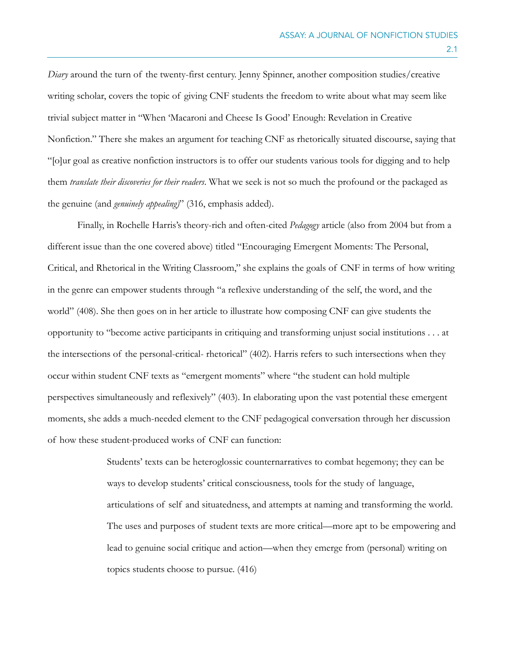*Diary* around the turn of the twenty-first century. Jenny Spinner, another composition studies/creative writing scholar, covers the topic of giving CNF students the freedom to write about what may seem like trivial subject matter in "When 'Macaroni and Cheese Is Good' Enough: Revelation in Creative Nonfiction." There she makes an argument for teaching CNF as rhetorically situated discourse, saying that "[o]ur goal as creative nonfiction instructors is to offer our students various tools for digging and to help them *translate their discoveries for their readers*. What we seek is not so much the profound or the packaged as the genuine (and *genuinely appealing)*" (316, emphasis added).

Finally, in Rochelle Harris's theory-rich and often-cited *Pedagogy* article (also from 2004 but from a different issue than the one covered above) titled "Encouraging Emergent Moments: The Personal, Critical, and Rhetorical in the Writing Classroom," she explains the goals of CNF in terms of how writing in the genre can empower students through "a reflexive understanding of the self, the word, and the world" (408). She then goes on in her article to illustrate how composing CNF can give students the opportunity to "become active participants in critiquing and transforming unjust social institutions . . . at the intersections of the personal-critical- rhetorical" (402). Harris refers to such intersections when they occur within student CNF texts as "emergent moments" where "the student can hold multiple perspectives simultaneously and reflexively" (403). In elaborating upon the vast potential these emergent moments, she adds a much-needed element to the CNF pedagogical conversation through her discussion of how these student-produced works of CNF can function:

> Students' texts can be heteroglossic counternarratives to combat hegemony; they can be ways to develop students' critical consciousness, tools for the study of language, articulations of self and situatedness, and attempts at naming and transforming the world. The uses and purposes of student texts are more critical—more apt to be empowering and lead to genuine social critique and action—when they emerge from (personal) writing on topics students choose to pursue. (416)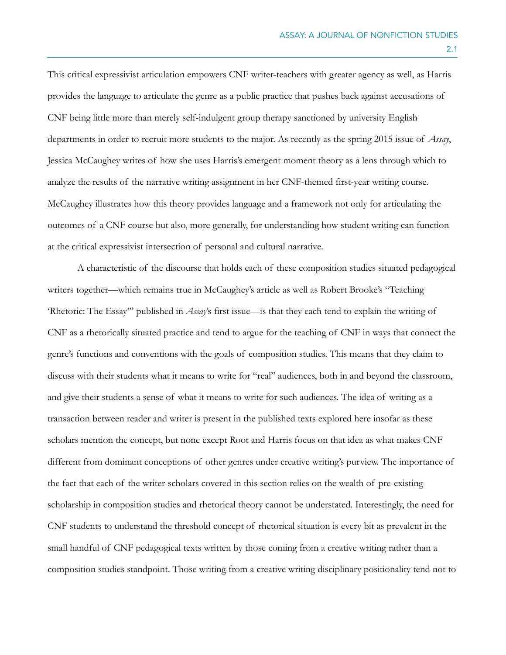This critical expressivist articulation empowers CNF writer-teachers with greater agency as well, as Harris provides the language to articulate the genre as a public practice that pushes back against accusations of CNF being little more than merely self-indulgent group therapy sanctioned by university English departments in order to recruit more students to the major. As recently as the spring 2015 issue of *Assay*, Jessica McCaughey writes of how she uses Harris's emergent moment theory as a lens through which to analyze the results of the narrative writing assignment in her CNF-themed first-year writing course. McCaughey illustrates how this theory provides language and a framework not only for articulating the outcomes of a CNF course but also, more generally, for understanding how student writing can function at the critical expressivist intersection of personal and cultural narrative.

A characteristic of the discourse that holds each of these composition studies situated pedagogical writers together—which remains true in McCaughey's article as well as Robert Brooke's "Teaching 'Rhetoric: The Essay'" published in *Assay*'s first issue—is that they each tend to explain the writing of CNF as a rhetorically situated practice and tend to argue for the teaching of CNF in ways that connect the genre's functions and conventions with the goals of composition studies. This means that they claim to discuss with their students what it means to write for "real" audiences, both in and beyond the classroom, and give their students a sense of what it means to write for such audiences. The idea of writing as a transaction between reader and writer is present in the published texts explored here insofar as these scholars mention the concept, but none except Root and Harris focus on that idea as what makes CNF different from dominant conceptions of other genres under creative writing's purview. The importance of the fact that each of the writer-scholars covered in this section relies on the wealth of pre-existing scholarship in composition studies and rhetorical theory cannot be understated. Interestingly, the need for CNF students to understand the threshold concept of rhetorical situation is every bit as prevalent in the small handful of CNF pedagogical texts written by those coming from a creative writing rather than a composition studies standpoint. Those writing from a creative writing disciplinary positionality tend not to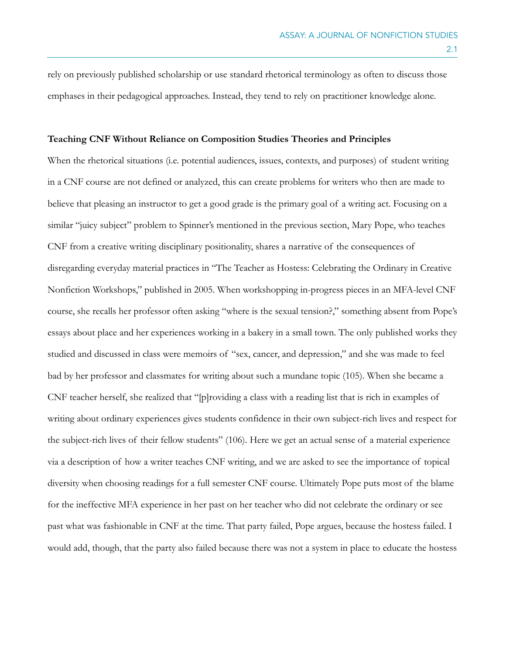rely on previously published scholarship or use standard rhetorical terminology as often to discuss those emphases in their pedagogical approaches. Instead, they tend to rely on practitioner knowledge alone.

## **Teaching CNF Without Reliance on Composition Studies Theories and Principles**

When the rhetorical situations (i.e. potential audiences, issues, contexts, and purposes) of student writing in a CNF course are not defined or analyzed, this can create problems for writers who then are made to believe that pleasing an instructor to get a good grade is the primary goal of a writing act. Focusing on a similar "juicy subject" problem to Spinner's mentioned in the previous section, Mary Pope, who teaches CNF from a creative writing disciplinary positionality, shares a narrative of the consequences of disregarding everyday material practices in "The Teacher as Hostess: Celebrating the Ordinary in Creative Nonfiction Workshops," published in 2005. When workshopping in-progress pieces in an MFA-level CNF course, she recalls her professor often asking "where is the sexual tension?," something absent from Pope's essays about place and her experiences working in a bakery in a small town. The only published works they studied and discussed in class were memoirs of "sex, cancer, and depression," and she was made to feel bad by her professor and classmates for writing about such a mundane topic (105). When she became a CNF teacher herself, she realized that "[p]roviding a class with a reading list that is rich in examples of writing about ordinary experiences gives students confidence in their own subject-rich lives and respect for the subject-rich lives of their fellow students" (106). Here we get an actual sense of a material experience via a description of how a writer teaches CNF writing, and we are asked to see the importance of topical diversity when choosing readings for a full semester CNF course. Ultimately Pope puts most of the blame for the ineffective MFA experience in her past on her teacher who did not celebrate the ordinary or see past what was fashionable in CNF at the time. That party failed, Pope argues, because the hostess failed. I would add, though, that the party also failed because there was not a system in place to educate the hostess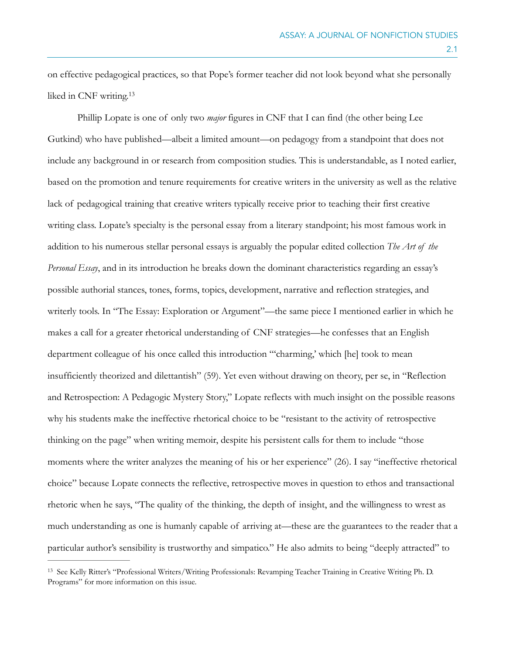on effective pedagogical practices, so that Pope's former teacher did not look beyond what she personally liked in CNF writing.<sup>13</sup>

Phillip Lopate is one of only two *major* figures in CNF that I can find (the other being Lee Gutkind) who have published—albeit a limited amount—on pedagogy from a standpoint that does not include any background in or research from composition studies. This is understandable, as I noted earlier, based on the promotion and tenure requirements for creative writers in the university as well as the relative lack of pedagogical training that creative writers typically receive prior to teaching their first creative writing class. Lopate's specialty is the personal essay from a literary standpoint; his most famous work in addition to his numerous stellar personal essays is arguably the popular edited collection *The Art of the Personal Essay*, and in its introduction he breaks down the dominant characteristics regarding an essay's possible authorial stances, tones, forms, topics, development, narrative and reflection strategies, and writerly tools. In "The Essay: Exploration or Argument"—the same piece I mentioned earlier in which he makes a call for a greater rhetorical understanding of CNF strategies—he confesses that an English department colleague of his once called this introduction "'charming,' which [he] took to mean insufficiently theorized and dilettantish" (59). Yet even without drawing on theory, per se, in "Reflection and Retrospection: A Pedagogic Mystery Story," Lopate reflects with much insight on the possible reasons why his students make the ineffective rhetorical choice to be "resistant to the activity of retrospective thinking on the page" when writing memoir, despite his persistent calls for them to include "those moments where the writer analyzes the meaning of his or her experience" (26). I say "ineffective rhetorical choice" because Lopate connects the reflective, retrospective moves in question to ethos and transactional rhetoric when he says, "The quality of the thinking, the depth of insight, and the willingness to wrest as much understanding as one is humanly capable of arriving at—these are the guarantees to the reader that a particular author's sensibility is trustworthy and simpatico." He also admits to being "deeply attracted" to

<sup>&</sup>lt;sup>13</sup> See Kelly Ritter's "Professional Writers/Writing Professionals: Revamping Teacher Training in Creative Writing Ph. D. Programs" for more information on this issue.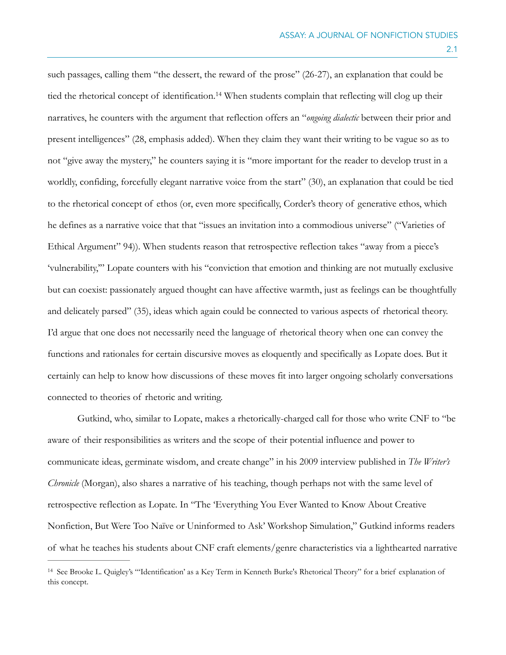such passages, calling them "the dessert, the reward of the prose" (26-27), an explanation that could be tied the rhetorical concept of identification.<sup>14</sup> When students complain that reflecting will clog up their narratives, he counters with the argument that reflection offers an "*ongoing dialectic* between their prior and present intelligences" (28, emphasis added). When they claim they want their writing to be vague so as to not "give away the mystery," he counters saying it is "more important for the reader to develop trust in a worldly, confiding, forcefully elegant narrative voice from the start" (30), an explanation that could be tied to the rhetorical concept of ethos (or, even more specifically, Corder's theory of generative ethos, which he defines as a narrative voice that that "issues an invitation into a commodious universe" ("Varieties of Ethical Argument" 94)). When students reason that retrospective reflection takes "away from a piece's 'vulnerability,'" Lopate counters with his "conviction that emotion and thinking are not mutually exclusive but can coexist: passionately argued thought can have affective warmth, just as feelings can be thoughtfully and delicately parsed" (35), ideas which again could be connected to various aspects of rhetorical theory. I'd argue that one does not necessarily need the language of rhetorical theory when one can convey the functions and rationales for certain discursive moves as eloquently and specifically as Lopate does. But it certainly can help to know how discussions of these moves fit into larger ongoing scholarly conversations connected to theories of rhetoric and writing.

Gutkind, who, similar to Lopate, makes a rhetorically-charged call for those who write CNF to "be aware of their responsibilities as writers and the scope of their potential influence and power to communicate ideas, germinate wisdom, and create change" in his 2009 interview published in *The Writer's Chronicle* (Morgan), also shares a narrative of his teaching, though perhaps not with the same level of retrospective reflection as Lopate. In "The 'Everything You Ever Wanted to Know About Creative Nonfiction, But Were Too Naïve or Uninformed to Ask' Workshop Simulation," Gutkind informs readers of what he teaches his students about CNF craft elements/genre characteristics via a lighthearted narrative

<sup>&</sup>lt;sup>14</sup> See Brooke L. Quigley's "'Identification' as a Key Term in Kenneth Burke's Rhetorical Theory" for a brief explanation of this concept.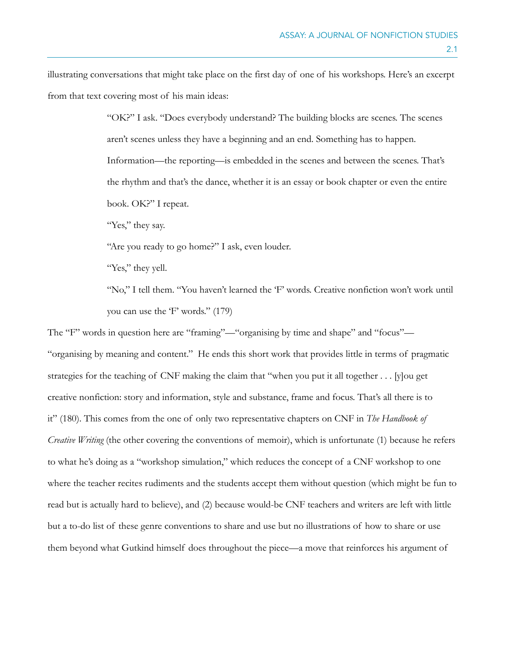illustrating conversations that might take place on the first day of one of his workshops. Here's an excerpt from that text covering most of his main ideas:

> "OK?" I ask. "Does everybody understand? The building blocks are scenes. The scenes aren't scenes unless they have a beginning and an end. Something has to happen. Information—the reporting—is embedded in the scenes and between the scenes. That's the rhythm and that's the dance, whether it is an essay or book chapter or even the entire book. OK?" I repeat.

"Yes," they say.

"Are you ready to go home?" I ask, even louder.

"Yes," they yell.

"No," I tell them. "You haven't learned the 'F' words. Creative nonfiction won't work until you can use the 'F' words." (179)

The "F" words in question here are "framing"—"organising by time and shape" and "focus"— "organising by meaning and content." He ends this short work that provides little in terms of pragmatic strategies for the teaching of CNF making the claim that "when you put it all together . . . [y]ou get creative nonfiction: story and information, style and substance, frame and focus. That's all there is to it" (180). This comes from the one of only two representative chapters on CNF in *The Handbook of Creative Writing* (the other covering the conventions of memoir), which is unfortunate (1) because he refers to what he's doing as a "workshop simulation," which reduces the concept of a CNF workshop to one where the teacher recites rudiments and the students accept them without question (which might be fun to read but is actually hard to believe), and (2) because would-be CNF teachers and writers are left with little but a to-do list of these genre conventions to share and use but no illustrations of how to share or use them beyond what Gutkind himself does throughout the piece—a move that reinforces his argument of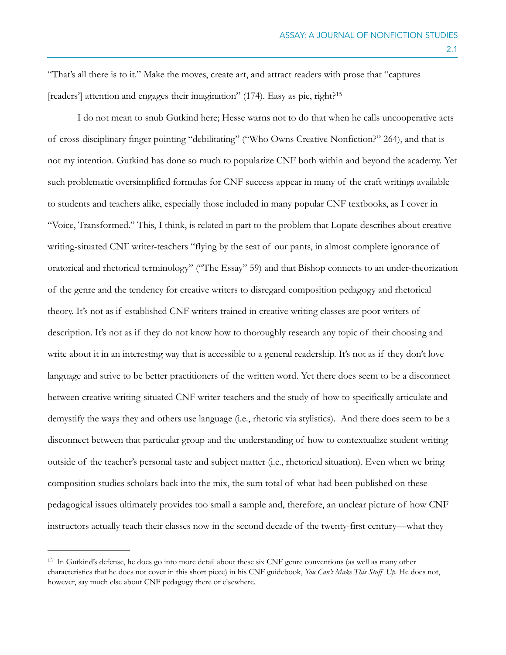"That's all there is to it." Make the moves, create art, and attract readers with prose that "captures [readers'] attention and engages their imagination" (174). Easy as pie, right?<sup>15</sup>

I do not mean to snub Gutkind here; Hesse warns not to do that when he calls uncooperative acts of cross-disciplinary finger pointing "debilitating" ("Who Owns Creative Nonfiction?" 264), and that is not my intention. Gutkind has done so much to popularize CNF both within and beyond the academy. Yet such problematic oversimplified formulas for CNF success appear in many of the craft writings available to students and teachers alike, especially those included in many popular CNF textbooks, as I cover in "Voice, Transformed." This, I think, is related in part to the problem that Lopate describes about creative writing-situated CNF writer-teachers "flying by the seat of our pants, in almost complete ignorance of oratorical and rhetorical terminology" ("The Essay" 59) and that Bishop connects to an under-theorization of the genre and the tendency for creative writers to disregard composition pedagogy and rhetorical theory. It's not as if established CNF writers trained in creative writing classes are poor writers of description. It's not as if they do not know how to thoroughly research any topic of their choosing and write about it in an interesting way that is accessible to a general readership. It's not as if they don't love language and strive to be better practitioners of the written word. Yet there does seem to be a disconnect between creative writing-situated CNF writer-teachers and the study of how to specifically articulate and demystify the ways they and others use language (i.e., rhetoric via stylistics). And there does seem to be a disconnect between that particular group and the understanding of how to contextualize student writing outside of the teacher's personal taste and subject matter (i.e., rhetorical situation). Even when we bring composition studies scholars back into the mix, the sum total of what had been published on these pedagogical issues ultimately provides too small a sample and, therefore, an unclear picture of how CNF instructors actually teach their classes now in the second decade of the twenty-first century—what they

<sup>&</sup>lt;sup>15</sup> In Gutkind's defense, he does go into more detail about these six CNF genre conventions (as well as many other characteristics that he does not cover in this short piece) in his CNF guidebook, *You Can't Make This Stuff Up.* He does not, however, say much else about CNF pedagogy there or elsewhere.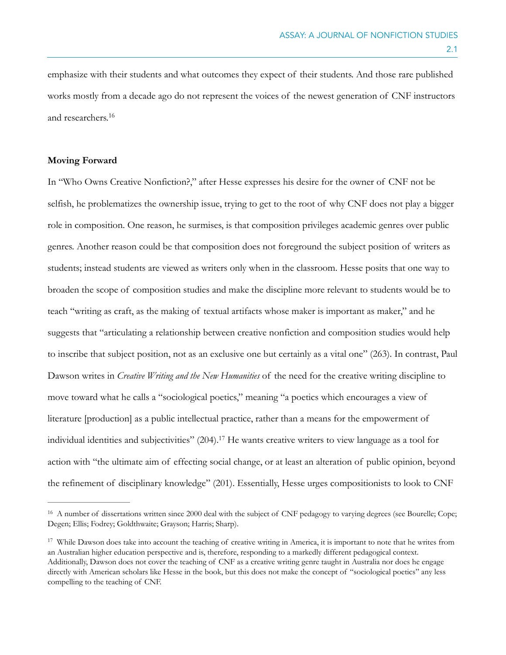emphasize with their students and what outcomes they expect of their students. And those rare published works mostly from a decade ago do not represent the voices of the newest generation of CNF instructors and researchers. 16

## **Moving Forward**

In "Who Owns Creative Nonfiction?," after Hesse expresses his desire for the owner of CNF not be selfish, he problematizes the ownership issue, trying to get to the root of why CNF does not play a bigger role in composition. One reason, he surmises, is that composition privileges academic genres over public genres. Another reason could be that composition does not foreground the subject position of writers as students; instead students are viewed as writers only when in the classroom. Hesse posits that one way to broaden the scope of composition studies and make the discipline more relevant to students would be to teach "writing as craft, as the making of textual artifacts whose maker is important as maker," and he suggests that "articulating a relationship between creative nonfiction and composition studies would help to inscribe that subject position, not as an exclusive one but certainly as a vital one" (263). In contrast, Paul Dawson writes in *Creative Writing and the New Humanities* of the need for the creative writing discipline to move toward what he calls a "sociological poetics," meaning "a poetics which encourages a view of literature [production] as a public intellectual practice, rather than a means for the empowerment of individual identities and subjectivities"  $(204)$ .<sup>17</sup> He wants creative writers to view language as a tool for action with "the ultimate aim of effecting social change, or at least an alteration of public opinion, beyond the refinement of disciplinary knowledge" (201). Essentially, Hesse urges compositionists to look to CNF

<sup>&</sup>lt;sup>16</sup> A number of dissertations written since 2000 deal with the subject of CNF pedagogy to varying degrees (see Bourelle; Cope; Degen; Ellis; Fodrey; Goldthwaite; Grayson; Harris; Sharp).

<sup>&</sup>lt;sup>17</sup> While Dawson does take into account the teaching of creative writing in America, it is important to note that he writes from an Australian higher education perspective and is, therefore, responding to a markedly different pedagogical context. Additionally, Dawson does not cover the teaching of CNF as a creative writing genre taught in Australia nor does he engage directly with American scholars like Hesse in the book, but this does not make the concept of "sociological poetics" any less compelling to the teaching of CNF.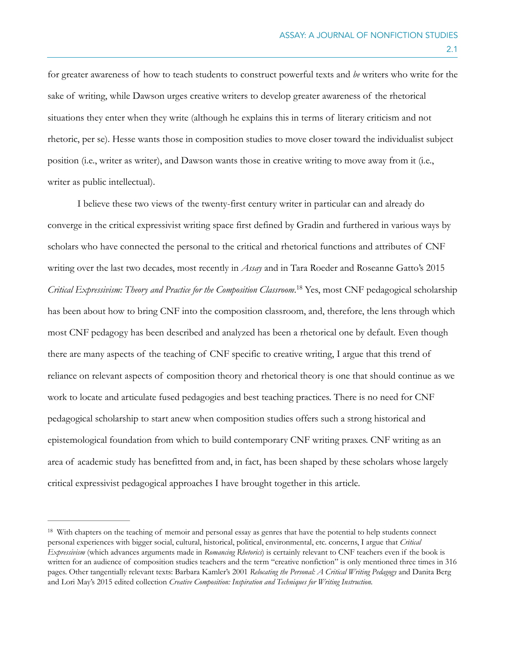for greater awareness of how to teach students to construct powerful texts and *be* writers who write for the sake of writing, while Dawson urges creative writers to develop greater awareness of the rhetorical situations they enter when they write (although he explains this in terms of literary criticism and not rhetoric, per se). Hesse wants those in composition studies to move closer toward the individualist subject position (i.e., writer as writer), and Dawson wants those in creative writing to move away from it (i.e., writer as public intellectual).

I believe these two views of the twenty-first century writer in particular can and already do converge in the critical expressivist writing space first defined by Gradin and furthered in various ways by scholars who have connected the personal to the critical and rhetorical functions and attributes of CNF writing over the last two decades, most recently in *Assay* and in Tara Roeder and Roseanne Gatto's 2015 *Critical Expressivism: Theory and Practice for the Composition Classroom.*<sup>18</sup> Yes, most CNF pedagogical scholarship has been about how to bring CNF into the composition classroom, and, therefore, the lens through which most CNF pedagogy has been described and analyzed has been a rhetorical one by default. Even though there are many aspects of the teaching of CNF specific to creative writing, I argue that this trend of reliance on relevant aspects of composition theory and rhetorical theory is one that should continue as we work to locate and articulate fused pedagogies and best teaching practices. There is no need for CNF pedagogical scholarship to start anew when composition studies offers such a strong historical and epistemological foundation from which to build contemporary CNF writing praxes. CNF writing as an area of academic study has benefitted from and, in fact, has been shaped by these scholars whose largely critical expressivist pedagogical approaches I have brought together in this article.

<sup>&</sup>lt;sup>18</sup> With chapters on the teaching of memoir and personal essay as genres that have the potential to help students connect personal experiences with bigger social, cultural, historical, political, environmental, etc. concerns, I argue that *Critical Expressivism* (which advances arguments made in *Romancing Rhetorics*) is certainly relevant to CNF teachers even if the book is written for an audience of composition studies teachers and the term "creative nonfiction" is only mentioned three times in 316 pages. Other tangentially relevant texts: Barbara Kamler's 2001 *Relocating the Personal: A Critical Writing Pedagogy* and Danita Berg and Lori May's 2015 edited collection *Creative Composition: Inspiration and Techniques for Writing Instruction.*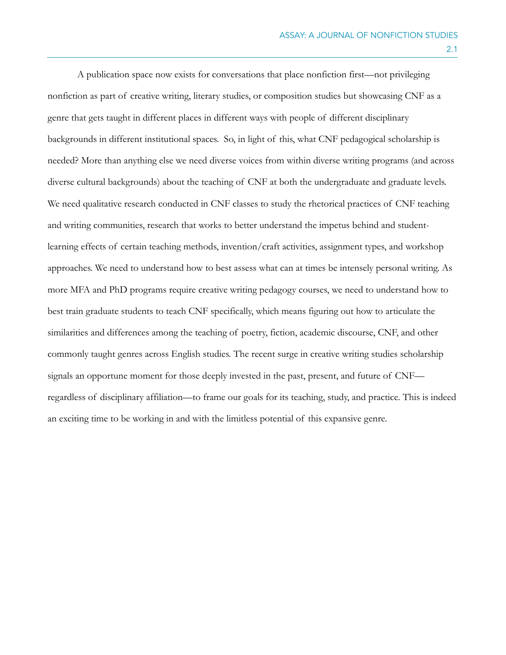A publication space now exists for conversations that place nonfiction first—not privileging nonfiction as part of creative writing, literary studies, or composition studies but showcasing CNF as a genre that gets taught in different places in different ways with people of different disciplinary backgrounds in different institutional spaces. So, in light of this, what CNF pedagogical scholarship is needed? More than anything else we need diverse voices from within diverse writing programs (and across diverse cultural backgrounds) about the teaching of CNF at both the undergraduate and graduate levels. We need qualitative research conducted in CNF classes to study the rhetorical practices of CNF teaching and writing communities, research that works to better understand the impetus behind and studentlearning effects of certain teaching methods, invention/craft activities, assignment types, and workshop approaches. We need to understand how to best assess what can at times be intensely personal writing. As more MFA and PhD programs require creative writing pedagogy courses, we need to understand how to best train graduate students to teach CNF specifically, which means figuring out how to articulate the similarities and differences among the teaching of poetry, fiction, academic discourse, CNF, and other commonly taught genres across English studies. The recent surge in creative writing studies scholarship signals an opportune moment for those deeply invested in the past, present, and future of CNF regardless of disciplinary affiliation—to frame our goals for its teaching, study, and practice. This is indeed an exciting time to be working in and with the limitless potential of this expansive genre.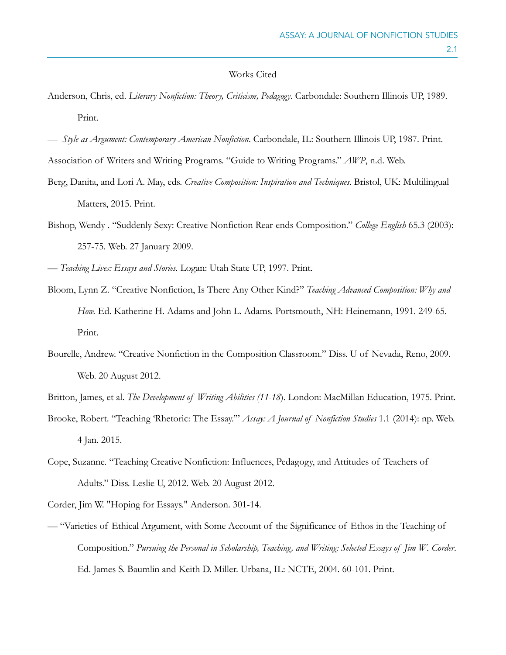## Works Cited

- Anderson, Chris, ed. *Literary Nonfiction: Theory, Criticism, Pedagogy*. Carbondale: Southern Illinois UP, 1989. Print.
- *Style as Argument: Contemporary American Nonfiction*. Carbondale, IL: Southern Illinois UP, 1987. Print.

Association of Writers and Writing Programs. "Guide to Writing Programs." *AWP*, n.d. Web.

- Berg, Danita, and Lori A. May, eds. *Creative Composition: Inspiration and Techniques.* Bristol, UK: Multilingual Matters, 2015. Print.
- Bishop, Wendy . "Suddenly Sexy: Creative Nonfiction Rear-ends Composition." *College English* 65.3 (2003): 257-75. Web. 27 January 2009.

— *Teaching Lives: Essays and Stories.* Logan: Utah State UP, 1997. Print.

- Bloom, Lynn Z. "Creative Nonfiction, Is There Any Other Kind?" *Teaching Advanced Composition: Why and How.* Ed. Katherine H. Adams and John L. Adams. Portsmouth, NH: Heinemann, 1991. 249-65. Print.
- Bourelle, Andrew. "Creative Nonfiction in the Composition Classroom." Diss. U of Nevada, Reno, 2009. Web. 20 August 2012.
- Britton, James, et al. *The Development of Writing Abilities (11-18*). London: MacMillan Education, 1975. Print.
- Brooke, Robert. "Teaching 'Rhetoric: The Essay.'" *Assay: A Journal of Nonfiction Studies* 1.1 (2014): np. Web. 4 Jan. 2015.
- Cope, Suzanne. "Teaching Creative Nonfiction: Influences, Pedagogy, and Attitudes of Teachers of Adults." Diss. Leslie U, 2012. Web. 20 August 2012.

Corder, Jim W. "Hoping for Essays." Anderson. 301-14.

— "Varieties of Ethical Argument, with Some Account of the Significance of Ethos in the Teaching of Composition." *Pursuing the Personal in Scholarship, Teaching, and Writing: Selected Essays of Jim W. Corder*. Ed. James S. Baumlin and Keith D. Miller. Urbana, IL: NCTE, 2004. 60-101. Print.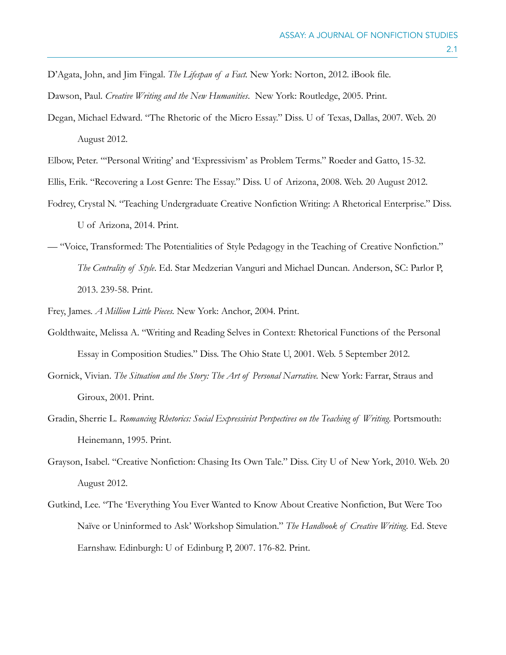D'Agata, John, and Jim Fingal. *The Lifespan of a Fact.* New York: Norton, 2012. iBook file.

Dawson, Paul. *Creative Writing and the New Humanities*. New York: Routledge, 2005. Print.

Degan, Michael Edward. "The Rhetoric of the Micro Essay." Diss. U of Texas, Dallas, 2007. Web. 20 August 2012.

Elbow, Peter. "'Personal Writing' and 'Expressivism' as Problem Terms." Roeder and Gatto, 15-32.

- Ellis, Erik. "Recovering a Lost Genre: The Essay." Diss. U of Arizona, 2008. Web. 20 August 2012.
- Fodrey, Crystal N. "Teaching Undergraduate Creative Nonfiction Writing: A Rhetorical Enterprise." Diss. U of Arizona, 2014. Print.
- "Voice, Transformed: The Potentialities of Style Pedagogy in the Teaching of Creative Nonfiction." *The Centrality of Style*. Ed. Star Medzerian Vanguri and Michael Duncan. Anderson, SC: Parlor P, 2013. 239-58. Print.
- Frey, James. *A Million Little Pieces.* New York: Anchor, 2004. Print.
- Goldthwaite, Melissa A. "Writing and Reading Selves in Context: Rhetorical Functions of the Personal Essay in Composition Studies." Diss. The Ohio State U, 2001. Web. 5 September 2012.
- Gornick, Vivian. *The Situation and the Story: The Art of Personal Narrative.* New York: Farrar, Straus and Giroux, 2001. Print.
- Gradin, Sherrie L. *Romancing Rhetorics: Social Expressivist Perspectives on the Teaching of Writing*. Portsmouth: Heinemann, 1995. Print.
- Grayson, Isabel. "Creative Nonfiction: Chasing Its Own Tale." Diss. City U of New York, 2010. Web. 20 August 2012.
- Gutkind, Lee. "The 'Everything You Ever Wanted to Know About Creative Nonfiction, But Were Too Naïve or Uninformed to Ask' Workshop Simulation." *The Handbook of Creative Writing.* Ed. Steve Earnshaw. Edinburgh: U of Edinburg P, 2007. 176-82. Print.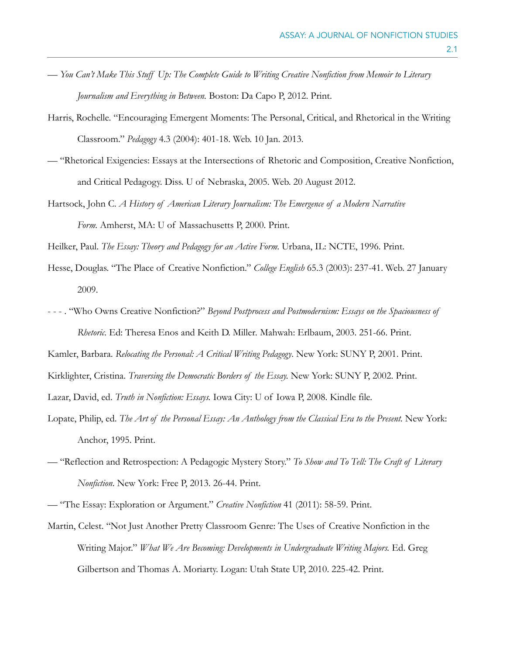- *You Can't Make This Stuff Up: The Complete Guide to Writing Creative Nonfiction from Memoir to Literary Journalism and Everything in Between.* Boston: Da Capo P, 2012. Print.
- Harris, Rochelle. "Encouraging Emergent Moments: The Personal, Critical, and Rhetorical in the Writing Classroom." *Pedagogy* 4.3 (2004): 401-18. Web. 10 Jan. 2013.
- "Rhetorical Exigencies: Essays at the Intersections of Rhetoric and Composition, Creative Nonfiction, and Critical Pedagogy. Diss. U of Nebraska, 2005. Web. 20 August 2012.
- Hartsock, John C. *A History of American Literary Journalism: The Emergence of a Modern Narrative Form.* Amherst, MA: U of Massachusetts P, 2000. Print.

Heilker, Paul. *The Essay: Theory and Pedagogy for an Active Form*. Urbana, IL: NCTE, 1996. Print.

- Hesse, Douglas. "The Place of Creative Nonfiction." *College English* 65.3 (2003): 237-41. Web. 27 January 2009.
- - . "Who Owns Creative Nonfiction?" *Beyond Postprocess and Postmodernism: Essays on the Spaciousness of Rhetoric.* Ed: Theresa Enos and Keith D. Miller*.* Mahwah: Erlbaum, 2003. 251-66. Print.

Kamler, Barbara. *Relocating the Personal: A Critical Writing Pedagogy*. New York: SUNY P, 2001. Print.

Kirklighter, Cristina. *Traversing the Democratic Borders of the Essay.* New York: SUNY P, 2002. Print.

Lazar, David, ed. *Truth in Nonfiction: Essays.* Iowa City: U of Iowa P, 2008. Kindle file.

- Lopate, Philip, ed. The Art of the Personal Essay: An Anthology from the Classical Era to the Present. New York: Anchor, 1995. Print.
- "Reflection and Retrospection: A Pedagogic Mystery Story." *To Show and To Tell: The Craft of Literary Nonfiction*. New York: Free P, 2013. 26-44. Print.

Martin, Celest. "Not Just Another Pretty Classroom Genre: The Uses of Creative Nonfiction in the Writing Major." *What We Are Becoming: Developments in Undergraduate Writing Majors.* Ed. Greg Gilbertson and Thomas A. Moriarty. Logan: Utah State UP, 2010. 225-42. Print.

<sup>— &</sup>quot;The Essay: Exploration or Argument." *Creative Nonfiction* 41 (2011): 58-59. Print.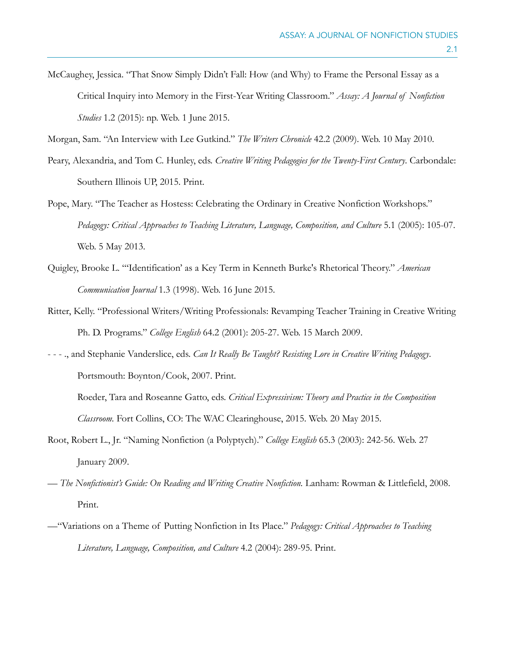McCaughey, Jessica. "That Snow Simply Didn't Fall: How (and Why) to Frame the Personal Essay as a Critical Inquiry into Memory in the First-Year Writing Classroom." *Assay: A Journal of Nonfiction Studies* 1.2 (2015): np. Web. 1 June 2015.

Morgan, Sam. "An Interview with Lee Gutkind." *The Writers Chronicle* 42.2 (2009). Web. 10 May 2010.

- Peary, Alexandria, and Tom C. Hunley, eds. *Creative Writing Pedagogies for the Twenty-First Century*. Carbondale: Southern Illinois UP, 2015. Print.
- Pope, Mary. "The Teacher as Hostess: Celebrating the Ordinary in Creative Nonfiction Workshops." *Pedagogy: Critical Approaches to Teaching Literature, Language, Composition, and Culture* 5.1 (2005): 105-07. Web. 5 May 2013.
- Quigley, Brooke L. "'Identification' as a Key Term in Kenneth Burke's Rhetorical Theory." *American Communication Journal* 1.3 (1998). Web. 16 June 2015.
- Ritter, Kelly. "Professional Writers/Writing Professionals: Revamping Teacher Training in Creative Writing Ph. D. Programs." *College English* 64.2 (2001): 205-27. Web. 15 March 2009.
- - ., and Stephanie Vanderslice, eds. *Can It Really Be Taught? Resisting Lore in Creative Writing Pedagogy*. Portsmouth: Boynton/Cook, 2007. Print. Roeder, Tara and Roseanne Gatto, eds. *Critical Expressivism: Theory and Practice in the Composition* 
	- *Classroom.* Fort Collins, CO: The WAC Clearinghouse, 2015. Web. 20 May 2015.
- Root, Robert L., Jr. "Naming Nonfiction (a Polyptych)." *College English* 65.3 (2003): 242-56. Web. 27 January 2009.
- *The Nonfictionist's Guide: On Reading and Writing Creative Nonfiction.* Lanham: Rowman & Littlefield, 2008. Print.
- —"Variations on a Theme of Putting Nonfiction in Its Place." *Pedagogy: Critical Approaches to Teaching Literature, Language, Composition, and Culture* 4.2 (2004): 289-95. Print.